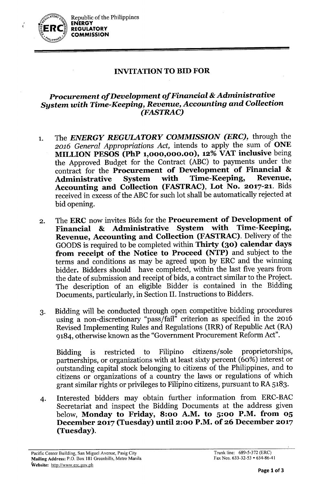

 $\vec{r}$ 

## **INVITATIONTOBID FOR**

## *Procurement of Development of Financial* **&***Administrative System with Time-Keeping, Revenue, Accounting and Collection (FASTRAC)*

- 1. The *ENERGY REGULATORY COMMISSION (ERC),* through the *2016 General Appropriations Act,* intends to apply the sum of **ONE MILLION PESOS (PhP 1,000,000.00), 12% VAT inclusive** being the Approved Budget for the Contract (ABC) to payments under the contract for the **Procurement of Development of Financial** & **Administrative System with Time-Keeping, Accounting and Collection (FASTRAC), Lot No. 2017-21.** Bids received in excess of the ABC for such lot shall be automatically rejected at bid opening.
- 2. The **ERC** now invites Bids for the **Procurement of Development of Financial & Administrative System with Revenue, Accounting and Collection (FASTRAC).** Delivery of the GOODS is required to be completed within **Thirty (30) calendar days from receipt of the Notice to Proceed (NTP)** and subject to the terms and conditions as may be agreed upon by ERC and the winning bidder. Bidders should have completed, within the last five years from the date of submission and receipt of bids, a contract similar to the Project. The description of an eligible Bidder is contained in the Bidding Documents, particularly, in Section II. Instructions to Bidders.
- 3. Bidding will be conducted through open competitive bidding procedures using a non-discretionary "pass/fail" criterion as specified in the 2016 Revised Implementing Rules and Regulations (IRR) of Republic Act (RA) 9184, otherwise known as the "Government Procurement Reform Act".

Bidding is restricted to Filipino citizens/sole proprietorships, partnerships, or organizations with at least sixty percent (60%) interest or outstanding capital stock belonging to citizens of the Philippines, and to citizens or organizations of a country the laws or regulations of which grant similar rights or privileges to Filipino citizens, pursuant to RA 5183.

4. Interested bidders may obtain further information from ERC-BAC Secretariat and inspect the Bidding Documents at the address given below, **Monday to Friday, 8:00 A.M. to 5:00 P.M. from 05 December 2017 (Tuesday)** until 2:00 **P.M.** of 26 **December 2017 (Tuesday).**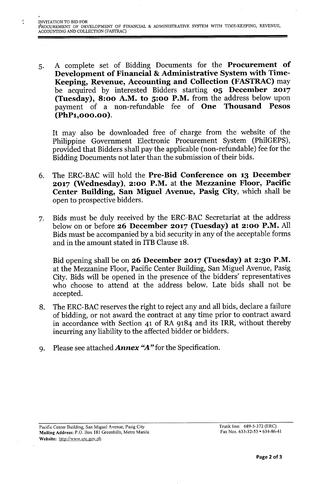",

5. A complete set of Bidding Documents for the Procurement of Development of Financial & Administrative System with Time-Keeping, Revenue, Accounting and Collection (FASTRAC) may be acquired by interested Bidders starting 05 December 2017 (Tuesday), 8:00 A.M. to 5:00 P.M. from the address below upon payment of a non-refundable fee of One Thousand Pesos (PhP1,000.00).

It may also be downloaded free of charge from the website of the Philippine Government Electronic Procurement System (PhilGEPS), provided that Bidders shall pay the applicable (non-refundable) fee for the Bidding Documents not later than the submission of their bids.

- 6. The ERC-BAC will hold the Pre-Bid Conference on 13 December 2017 (Wednesday), 2:00 P.M. at the Mezzanine Floor, Pacific Center Building, San Miguel Avenue, Pasig City, which shall be open to prospective bidders.
- 7. Bids must be duly received by the ERC-BAC Secretariat at the address below on or before 26 December 2017 (Tuesday) at 2:00 P.M. All Bids must be accompanied by a bid security in any of the acceptable forms and in the amount stated in ITB Clause 18.

Bid opening shall be on 26 December 2017 (Tuesday) at 2:30 P.M. at the Mezzanine Floor, Pacific Center Building, San Miguel Avenue, Pasig City. Bids will be opened in the presence of the bidders' representatives who choose to attend at the address below. Late bids shall not be accepted.

- 8. The ERC-BAC reserves the right to reject any and all bids, declare a failure of bidding, or not award the contract at any time prior to contract award in accordance with Section 41 of RA 9184 and its IRR, without thereby incurring any liability to the affected bidder or bidders.
- 9. Please see attached *Annex "A"* for the Specification.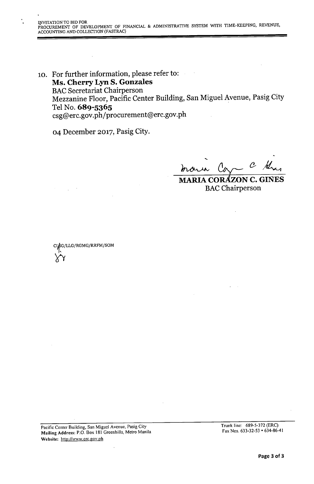10. For further information, please refer to: Ms. Cherry Lyn S. Gonzales BAC Secretariat Chairperson Mezzanine Floor, Pacific Center Building, San Miguel Avenue, Pasig City Tel No. 689-5365 csg@erc.gov.ph/procurement@erc.gov.ph

04 December 2017, Pasig City.

•..  $\mathcal{C}$ maria Ca

MARIA CORAZON C. GIÑES **BAC** Chairperson

C~G/LLG/RGMG/RRFM/SOM  $\overline{\mathsf{Y}}$ 

Pacific Center Building, San Miguel Avenue, Pasig City Mailing Address: P.O. Box 181 Greenhills, Metro Manila Website: <http://www.crc.gov.ph>

Trunk line: 689-5-372 (ERC) Fax Nos. 633-32-53 • 634-86-41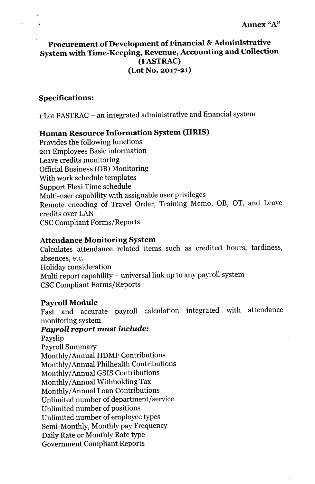# **Procurement of Development of Financial & Administrative System with Time-Keeping, Revenue, Accounting and Collection (FASTRAC) (Lot No. 2017-21)**

## **Specifications:**

1Lot FASTRAC - an integrated administrative and financial system

# **Human Resource Information System (HRIS)**

Provides the following functions 201 Employees Basic information Leave credits monitoring Official Business (OB) Monitoring With work schedule templates Support Flexi Time schedule Multi-user capability with assignable user privileges Remote encoding of Travel Order, Training Memo, OB, OT, and Leave credits over LAN CSC Compliant Forms/Reports

## **Attendance Monitoring System**

Calculates attendance related items such as credited hours, tardiness, absences, etc. Holiday consideration Multi report capability - universal link up to any payroll system CSC Compliant Forms/Reports

### **Payroll Module**

Fast and accurate payroll calculation integrated with attendance monitoring system

# *Payroll report must include:*

Payslip Payroll Summary Monthly/Annual HDMF Contributions Monthly/Annual Philhealth Contributions Monthly/Annual GSIS Contributions Monthly/Annual Withholding Tax Monthly/Annual Loan Contributions Unlimited number of department/service Unlimited number of positions Unlimited number of employee types Semi-Monthly, Monthly pay Frequency Daily Rate or Monthly Rate type Government Compliant Reports